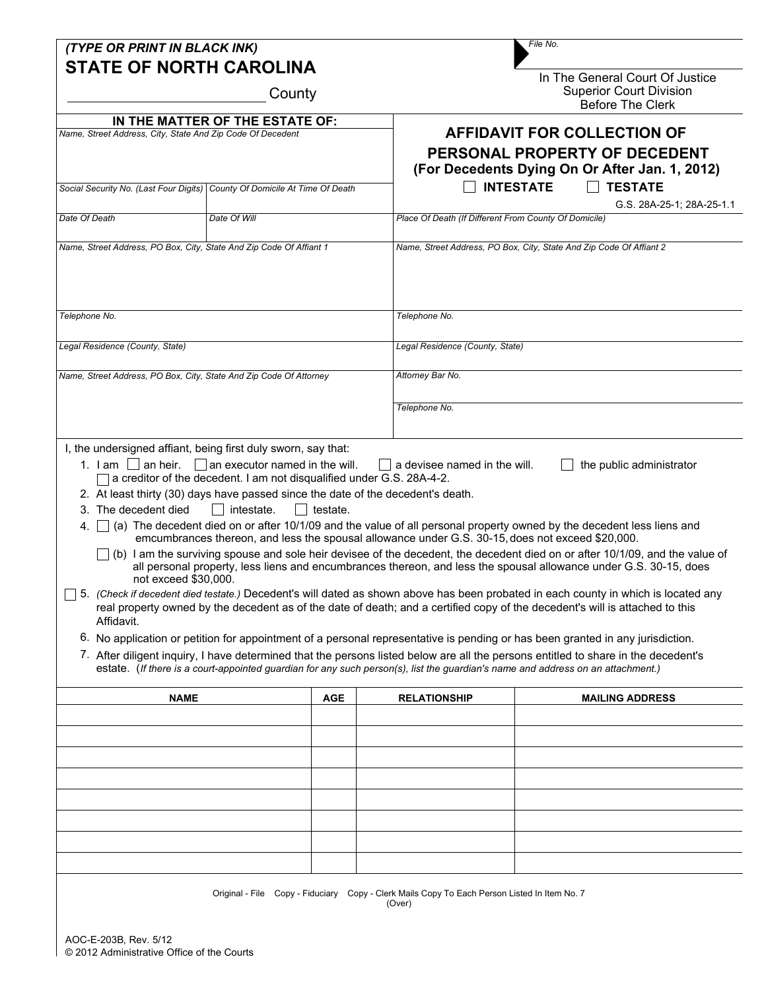|                                                                     | <b>STATE OF NORTH CAROLINA</b>                                                                                                                                                                  |            |                                                                                                  | In The General Court Of Justice                                                                                                                                                                                                                                                                                                                                                                                                                                                                                                                                                                                                                                                                                                                                                                                                                                                                                                                                                                                                                                |  |  |  |
|---------------------------------------------------------------------|-------------------------------------------------------------------------------------------------------------------------------------------------------------------------------------------------|------------|--------------------------------------------------------------------------------------------------|----------------------------------------------------------------------------------------------------------------------------------------------------------------------------------------------------------------------------------------------------------------------------------------------------------------------------------------------------------------------------------------------------------------------------------------------------------------------------------------------------------------------------------------------------------------------------------------------------------------------------------------------------------------------------------------------------------------------------------------------------------------------------------------------------------------------------------------------------------------------------------------------------------------------------------------------------------------------------------------------------------------------------------------------------------------|--|--|--|
|                                                                     | County                                                                                                                                                                                          |            |                                                                                                  | <b>Superior Court Division</b><br><b>Before The Clerk</b>                                                                                                                                                                                                                                                                                                                                                                                                                                                                                                                                                                                                                                                                                                                                                                                                                                                                                                                                                                                                      |  |  |  |
|                                                                     | IN THE MATTER OF THE ESTATE OF:<br>Name, Street Address, City, State And Zip Code Of Decedent                                                                                                   |            |                                                                                                  | <b>AFFIDAVIT FOR COLLECTION OF</b><br>PERSONAL PROPERTY OF DECEDENT<br>(For Decedents Dying On Or After Jan. 1, 2012)                                                                                                                                                                                                                                                                                                                                                                                                                                                                                                                                                                                                                                                                                                                                                                                                                                                                                                                                          |  |  |  |
|                                                                     | Social Security No. (Last Four Digits)   County Of Domicile At Time Of Death                                                                                                                    |            |                                                                                                  | <b>INTESTATE</b><br><b>TESTATE</b><br>G.S. 28A-25-1; 28A-25-1.1                                                                                                                                                                                                                                                                                                                                                                                                                                                                                                                                                                                                                                                                                                                                                                                                                                                                                                                                                                                                |  |  |  |
| Date Of Death                                                       | Date Of Will                                                                                                                                                                                    |            | Place Of Death (If Different From County Of Domicile)                                            |                                                                                                                                                                                                                                                                                                                                                                                                                                                                                                                                                                                                                                                                                                                                                                                                                                                                                                                                                                                                                                                                |  |  |  |
| Name, Street Address, PO Box, City, State And Zip Code Of Affiant 1 |                                                                                                                                                                                                 |            |                                                                                                  | Name, Street Address, PO Box, City, State And Zip Code Of Affiant 2                                                                                                                                                                                                                                                                                                                                                                                                                                                                                                                                                                                                                                                                                                                                                                                                                                                                                                                                                                                            |  |  |  |
| Telephone No.                                                       |                                                                                                                                                                                                 |            | Telephone No.                                                                                    |                                                                                                                                                                                                                                                                                                                                                                                                                                                                                                                                                                                                                                                                                                                                                                                                                                                                                                                                                                                                                                                                |  |  |  |
| Legal Residence (County, State)                                     |                                                                                                                                                                                                 |            |                                                                                                  | Legal Residence (County, State)                                                                                                                                                                                                                                                                                                                                                                                                                                                                                                                                                                                                                                                                                                                                                                                                                                                                                                                                                                                                                                |  |  |  |
|                                                                     | Name, Street Address, PO Box, City, State And Zip Code Of Attorney                                                                                                                              |            | Attorney Bar No.                                                                                 |                                                                                                                                                                                                                                                                                                                                                                                                                                                                                                                                                                                                                                                                                                                                                                                                                                                                                                                                                                                                                                                                |  |  |  |
|                                                                     |                                                                                                                                                                                                 |            | Telephone No.                                                                                    |                                                                                                                                                                                                                                                                                                                                                                                                                                                                                                                                                                                                                                                                                                                                                                                                                                                                                                                                                                                                                                                                |  |  |  |
| 3. The decedent died<br>Affidavit.                                  | a creditor of the decedent. I am not disqualified under G.S. 28A-4-2.<br>2. At least thirty (30) days have passed since the date of the decedent's death.<br>intestate.<br>not exceed \$30,000. | testate.   | emcumbrances thereon, and less the spousal allowance under G.S. 30-15, does not exceed \$20,000. | 4. (a) The decedent died on or after 10/1/09 and the value of all personal property owned by the decedent less liens and<br>(b) I am the surviving spouse and sole heir devisee of the decedent, the decedent died on or after 10/1/09, and the value of<br>all personal property, less liens and encumbrances thereon, and less the spousal allowance under G.S. 30-15, does<br>5. (Check if decedent died testate.) Decedent's will dated as shown above has been probated in each county in which is located any<br>real property owned by the decedent as of the date of death; and a certified copy of the decedent's will is attached to this<br>6. No application or petition for appointment of a personal representative is pending or has been granted in any jurisdiction.<br>7. After diligent inquiry, I have determined that the persons listed below are all the persons entitled to share in the decedent's<br>estate. (If there is a court-appointed guardian for any such person(s), list the guardian's name and address on an attachment.) |  |  |  |
|                                                                     | <b>NAME</b>                                                                                                                                                                                     | <b>AGE</b> | <b>RELATIONSHIP</b>                                                                              | <b>MAILING ADDRESS</b>                                                                                                                                                                                                                                                                                                                                                                                                                                                                                                                                                                                                                                                                                                                                                                                                                                                                                                                                                                                                                                         |  |  |  |
|                                                                     |                                                                                                                                                                                                 |            |                                                                                                  |                                                                                                                                                                                                                                                                                                                                                                                                                                                                                                                                                                                                                                                                                                                                                                                                                                                                                                                                                                                                                                                                |  |  |  |
|                                                                     |                                                                                                                                                                                                 |            |                                                                                                  |                                                                                                                                                                                                                                                                                                                                                                                                                                                                                                                                                                                                                                                                                                                                                                                                                                                                                                                                                                                                                                                                |  |  |  |
|                                                                     |                                                                                                                                                                                                 |            |                                                                                                  |                                                                                                                                                                                                                                                                                                                                                                                                                                                                                                                                                                                                                                                                                                                                                                                                                                                                                                                                                                                                                                                                |  |  |  |
|                                                                     |                                                                                                                                                                                                 |            |                                                                                                  |                                                                                                                                                                                                                                                                                                                                                                                                                                                                                                                                                                                                                                                                                                                                                                                                                                                                                                                                                                                                                                                                |  |  |  |
|                                                                     |                                                                                                                                                                                                 |            |                                                                                                  |                                                                                                                                                                                                                                                                                                                                                                                                                                                                                                                                                                                                                                                                                                                                                                                                                                                                                                                                                                                                                                                                |  |  |  |
|                                                                     |                                                                                                                                                                                                 |            |                                                                                                  |                                                                                                                                                                                                                                                                                                                                                                                                                                                                                                                                                                                                                                                                                                                                                                                                                                                                                                                                                                                                                                                                |  |  |  |